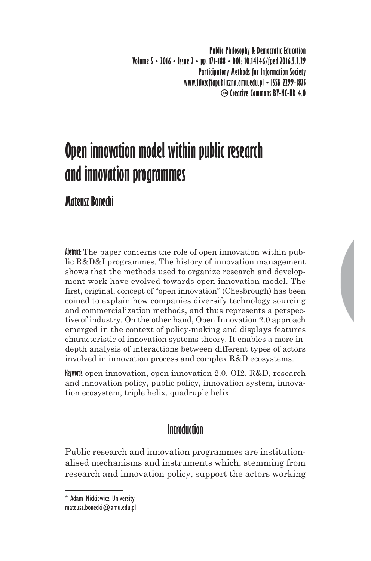**Public Philosophy & Democratic Education Volume 5 • 2016 • Issue 2 • pp. 171-188 • DOI: 10.14746/fped.2016.5.2.29 Participatory Methods for Information Society www.filozofiapubliczna.amu.edu.pl • ISSN 2299-1875 Creative Commons BY-NC-ND 4.0**

# **Open innovation model within public research and innovation programmes**

**Mateusz Bonecki**

**Abstract:** The paper concerns the role of open innovation within public R&D&I programmes. The history of innovation management shows that the methods used to organize research and development work have evolved towards open innovation model. The first, original, concept of "open innovation" (Chesbrough) has been coined to explain how companies diversify technology sourcing and commercialization methods, and thus represents a perspective of industry. On the other hand, Open Innovation 2.0 approach emerged in the context of policy-making and displays features characteristic of innovation systems theory. It enables a more indepth analysis of interactions between different types of actors involved in innovation process and complex R&D ecosystems.

**Keywords:** open innovation, open innovation 2.0, OI2, R&D, research and innovation policy, public policy, innovation system, innovation ecosystem, triple helix, quadruple helix

## **Introduction**

Public research and innovation programmes are institutionalised mechanisms and instruments which, stemming from research and innovation policy, support the actors working

<sup>\*</sup> Adam Mickiewicz University mateusz.bonecki@amu.edu.pl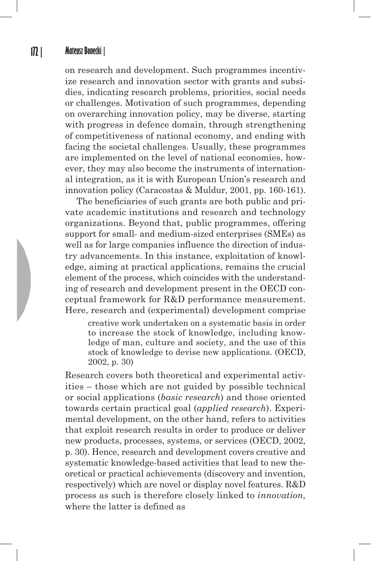on research and development. Such programmes incentivize research and innovation sector with grants and subsidies, indicating research problems, priorities, social needs or challenges. Motivation of such programmes, depending on overarching innovation policy, may be diverse, starting with progress in defence domain, through strengthening of competitiveness of national economy, and ending with facing the societal challenges. Usually, these programmes are implemented on the level of national economies, however, they may also become the instruments of international integration, as it is with European Union's research and innovation policy (Caracostas & Muldur, 2001, pp. 160-161).

The beneficiaries of such grants are both public and private academic institutions and research and technology organizations. Beyond that, public programmes, offering support for small- and medium-sized enterprises (SMEs) as well as for large companies influence the direction of industry advancements. In this instance, exploitation of knowledge, aiming at practical applications, remains the crucial element of the process, which coincides with the understanding of research and development present in the OECD conceptual framework for R&D performance measurement. Here, research and (experimental) development comprise

creative work undertaken on a systematic basis in order to increase the stock of knowledge, including knowledge of man, culture and society, and the use of this stock of knowledge to devise new applications. (OECD, 2002, p. 30)

Research covers both theoretical and experimental activities – those which are not guided by possible technical or social applications (*basic research*) and those oriented towards certain practical goal (*applied research*). Experimental development, on the other hand, refers to activities that exploit research results in order to produce or deliver new products, processes, systems, or services (OECD, 2002, p. 30). Hence, research and development covers creative and systematic knowledge-based activities that lead to new theoretical or practical achievements (discovery and invention, respectively) which are novel or display novel features. R&D process as such is therefore closely linked to *innovation,* where the latter is defined as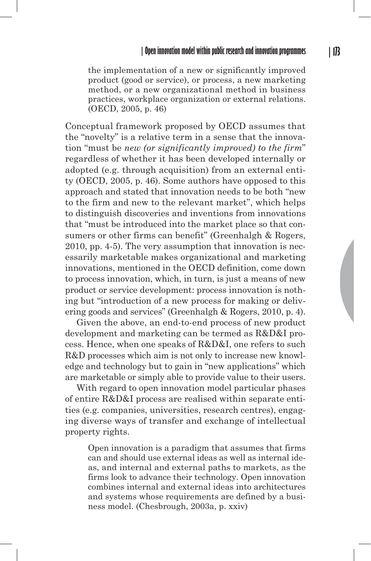the implementation of a new or significantly improved product (good or service), or process, a new marketing method, or a new organizational method in business practices, workplace organization or external relations. (OECD, 2005, p. 46)

Conceptual framework proposed by OECD assumes that the "novelty" is a relative term in a sense that the innovation "must be *new (or significantly improved) to the firm*" regardless of whether it has been developed internally or adopted (e.g. through acquisition) from an external entity (OECD, 2005, p. 46). Some authors have opposed to this approach and stated that innovation needs to be both "new to the firm and new to the relevant market", which helps to distinguish discoveries and inventions from innovations that "must be introduced into the market place so that consumers or other firms can benefit" (Greenhalgh & Rogers, 2010, pp. 4-5). The very assumption that innovation is necessarily marketable makes organizational and marketing innovations, mentioned in the OECD definition, come down to process innovation, which, in turn, is just a means of new product or service development: process innovation is nothing but "introduction of a new process for making or delivering goods and services" (Greenhalgh & Rogers, 2010, p. 4).

Given the above, an end-to-end process of new product development and marketing can be termed as R&D&I process. Hence, when one speaks of R&D&I, one refers to such R&D processes which aim is not only to increase new knowledge and technology but to gain in "new applications" which are marketable or simply able to provide value to their users.

With regard to open innovation model particular phases of entire R&D&I process are realised within separate entities (e.g. companies, universities, research centres), engaging diverse ways of transfer and exchange of intellectual property rights.

Open innovation is a paradigm that assumes that firms can and should use external ideas as well as internal ideas, and internal and external paths to markets, as the firms look to advance their technology. Open innovation combines internal and external ideas into architectures and systems whose requirements are defined by a business model. (Chesbrough, 2003a, p. xxiv)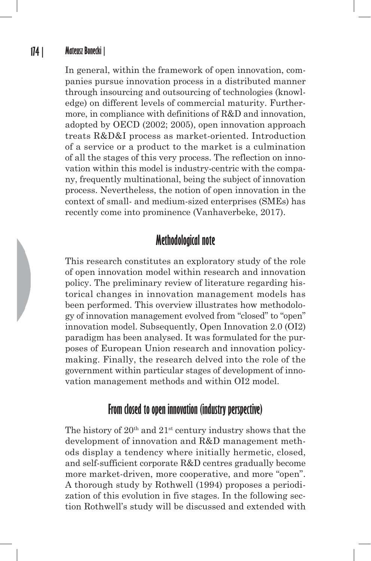In general, within the framework of open innovation, companies pursue innovation process in a distributed manner through insourcing and outsourcing of technologies (knowledge) on different levels of commercial maturity. Furthermore, in compliance with definitions of R&D and innovation, adopted by OECD (2002; 2005), open innovation approach treats R&D&I process as market-oriented. Introduction of a service or a product to the market is a culmination of all the stages of this very process. The reflection on innovation within this model is industry-centric with the company, frequently multinational, being the subject of innovation process. Nevertheless, the notion of open innovation in the context of small- and medium-sized enterprises (SMEs) has recently come into prominence (Vanhaverbeke, 2017).

## **Methodological note**

This research constitutes an exploratory study of the role of open innovation model within research and innovation policy. The preliminary review of literature regarding historical changes in innovation management models has been performed. This overview illustrates how methodology of innovation management evolved from "closed" to "open" innovation model. Subsequently, Open Innovation 2.0 (OI2) paradigm has been analysed. It was formulated for the purposes of European Union research and innovation policymaking. Finally, the research delved into the role of the government within particular stages of development of innovation management methods and within OI2 model.

## **From closed to open innovation (industry perspective)**

The history of  $20<sup>th</sup>$  and  $21<sup>st</sup>$  century industry shows that the development of innovation and R&D management methods display a tendency where initially hermetic, closed, and self-sufficient corporate R&D centres gradually become more market-driven, more cooperative, and more "open". A thorough study by Rothwell (1994) proposes a periodization of this evolution in five stages. In the following section Rothwell's study will be discussed and extended with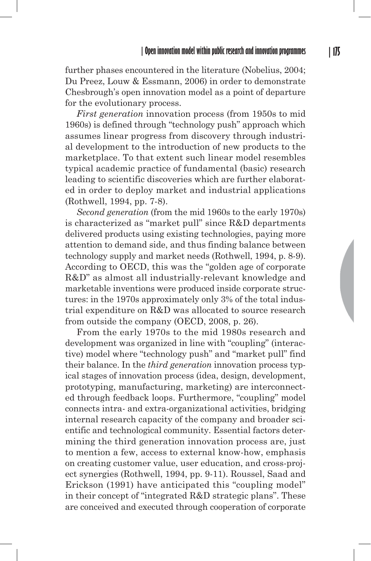further phases encountered in the literature (Nobelius, 2004; Du Preez, Louw & Essmann, 2006) in order to demonstrate Chesbrough's open innovation model as a point of departure for the evolutionary process.

*First generation* innovation process (from 1950s to mid 1960s) is defined through "technology push" approach which assumes linear progress from discovery through industrial development to the introduction of new products to the marketplace. To that extent such linear model resembles typical academic practice of fundamental (basic) research leading to scientific discoveries which are further elaborated in order to deploy market and industrial applications (Rothwell, 1994, pp. 7-8).

*Second generation* (from the mid 1960s to the early 1970s) is characterized as "market pull" since R&D departments delivered products using existing technologies, paying more attention to demand side, and thus finding balance between technology supply and market needs (Rothwell, 1994, p. 8-9). According to OECD, this was the "golden age of corporate R&D" as almost all industrially-relevant knowledge and marketable inventions were produced inside corporate structures: in the 1970s approximately only 3% of the total industrial expenditure on R&D was allocated to source research from outside the company (OECD, 2008, p. 26).

From the early 1970s to the mid 1980s research and development was organized in line with "coupling" (interactive) model where "technology push" and "market pull" find their balance. In the *third generation* innovation process typical stages of innovation process (idea, design, development, prototyping, manufacturing, marketing) are interconnected through feedback loops. Furthermore, "coupling" model connects intra- and extra-organizational activities, bridging internal research capacity of the company and broader scientific and technological community. Essential factors determining the third generation innovation process are, just to mention a few, access to external know-how, emphasis on creating customer value, user education, and cross-project synergies (Rothwell, 1994, pp. 9-11). Roussel, Saad and Erickson (1991) have anticipated this "coupling model" in their concept of "integrated R&D strategic plans". These are conceived and executed through cooperation of corporate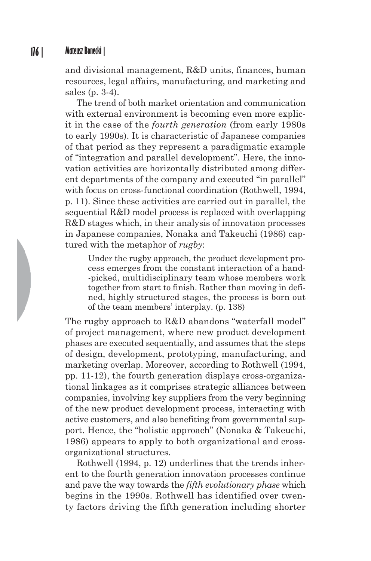and divisional management, R&D units, finances, human resources, legal affairs, manufacturing, and marketing and sales (p. 3-4).

The trend of both market orientation and communication with external environment is becoming even more explicit in the case of the *fourth generation* (from early 1980s to early 1990s). It is characteristic of Japanese companies of that period as they represent a paradigmatic example of "integration and parallel development". Here, the innovation activities are horizontally distributed among different departments of the company and executed "in parallel" with focus on cross-functional coordination (Rothwell, 1994, p. 11). Since these activities are carried out in parallel, the sequential R&D model process is replaced with overlapping R&D stages which, in their analysis of innovation processes in Japanese companies, Nonaka and Takeuchi (1986) captured with the metaphor of *rugby*:

Under the rugby approach, the product development process emerges from the constant interaction of a hand- -picked, multidisciplinary team whose members work together from start to finish. Rather than moving in defined, highly structured stages, the process is born out of the team members' interplay. (p. 138)

The rugby approach to R&D abandons "waterfall model" of project management, where new product development phases are executed sequentially, and assumes that the steps of design, development, prototyping, manufacturing, and marketing overlap. Moreover, according to Rothwell (1994, pp. 11-12), the fourth generation displays cross-organizational linkages as it comprises strategic alliances between companies, involving key suppliers from the very beginning of the new product development process, interacting with active customers, and also benefiting from governmental support. Hence, the "holistic approach" (Nonaka & Takeuchi, 1986) appears to apply to both organizational and crossorganizational structures.

Rothwell (1994, p. 12) underlines that the trends inherent to the fourth generation innovation processes continue and pave the way towards the *fifth evolutionary phase* which begins in the 1990s. Rothwell has identified over twenty factors driving the fifth generation including shorter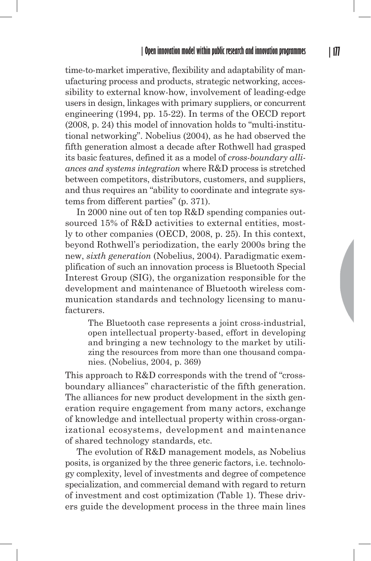time-to-market imperative, flexibility and adaptability of manufacturing process and products, strategic networking, accessibility to external know-how, involvement of leading-edge users in design, linkages with primary suppliers, or concurrent engineering (1994, pp. 15-22). In terms of the OECD report (2008, p. 24) this model of innovation holds to "multi-institutional networking". Nobelius (2004), as he had observed the fifth generation almost a decade after Rothwell had grasped its basic features, defined it as a model of *cross-boundary alliances and systems integration* where R&D process is stretched between competitors, distributors, customers, and suppliers, and thus requires an "ability to coordinate and integrate systems from different parties" (p. 371).

In 2000 nine out of ten top R&D spending companies outsourced 15% of R&D activities to external entities, mostly to other companies (OECD, 2008, p. 25). In this context, beyond Rothwell's periodization, the early 2000s bring the new, *sixth generation* (Nobelius, 2004). Paradigmatic exemplification of such an innovation process is Bluetooth Special Interest Group (SIG), the organization responsible for the development and maintenance of Bluetooth wireless communication standards and technology licensing to manufacturers.

The Bluetooth case represents a joint cross-industrial, open intellectual property-based, effort in developing and bringing a new technology to the market by utilizing the resources from more than one thousand companies. (Nobelius, 2004, p. 369)

This approach to R&D corresponds with the trend of "crossboundary alliances" characteristic of the fifth generation. The alliances for new product development in the sixth generation require engagement from many actors, exchange of knowledge and intellectual property within cross-organizational ecosystems, development and maintenance of shared technology standards, etc.

The evolution of R&D management models, as Nobelius posits, is organized by the three generic factors, i.e. technology complexity, level of investments and degree of competence specialization, and commercial demand with regard to return of investment and cost optimization (Table 1). These drivers guide the development process in the three main lines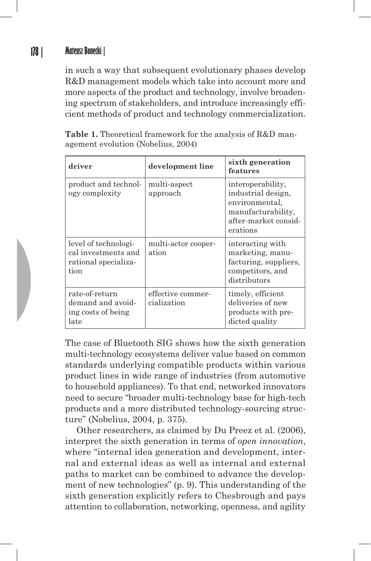in such a way that subsequent evolutionary phases develop R&D management models which take into account more and more aspects of the product and technology, involve broadening spectrum of stakeholders, and introduce increasingly efficient methods of product and technology commercialization.

**Table 1.** Theoretical framework for the analysis of R&D management evolution (Nobelius, 2004)

| driver                                                                      | development line                 | sixth generation<br>features                                                                                        |
|-----------------------------------------------------------------------------|----------------------------------|---------------------------------------------------------------------------------------------------------------------|
| product and technol-<br>ogy complexity                                      | multi-aspect<br>approach         | interoperability,<br>industrial design,<br>environmental,<br>manufacturability,<br>after-market consid-<br>erations |
| level of technologi-<br>cal investments and<br>rational specializa-<br>tion | multi-actor cooper-<br>ation     | interacting with<br>marketing, manu-<br>facturing, suppliers,<br>competitors, and<br>distributors                   |
| rate-of-return<br>demand and avoid-<br>ing costs of being<br>late           | effective commer-<br>cialization | timely, efficient<br>deliveries of new<br>products with pre-<br>dicted quality                                      |

The case of Bluetooth SIG shows how the sixth generation multi-technology ecosystems deliver value based on common standards underlying compatible products within various product lines in wide range of industries (from automotive to household appliances). To that end, networked innovators need to secure "broader multi-technology base for high-tech products and a more distributed technology-sourcing structure" (Nobelius, 2004, p. 375).

Other researchers, as claimed by Du Preez et al. (2006), interpret the sixth generation in terms of *open innovation*, where "internal idea generation and development, internal and external ideas as well as internal and external paths to market can be combined to advance the development of new technologies" (p. 9). This understanding of the sixth generation explicitly refers to Chesbrough and pays attention to collaboration, networking, openness, and agility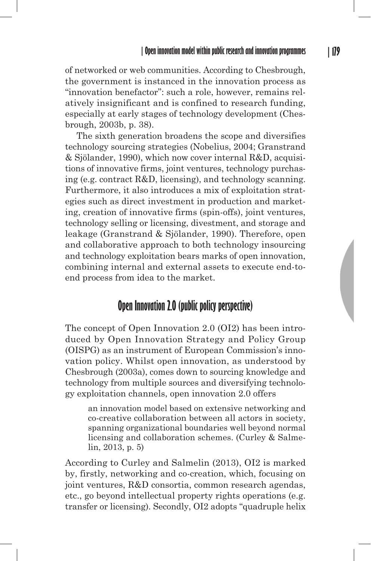of networked or web communities. According to Chesbrough, the government is instanced in the innovation process as "innovation benefactor": such a role, however, remains relatively insignificant and is confined to research funding, especially at early stages of technology development (Chesbrough, 2003b, p. 38).

The sixth generation broadens the scope and diversifies technology sourcing strategies (Nobelius, 2004; Granstrand & Sjölander, 1990), which now cover internal R&D, acquisitions of innovative firms, joint ventures, technology purchasing (e.g. contract R&D, licensing), and technology scanning. Furthermore, it also introduces a mix of exploitation strategies such as direct investment in production and marketing, creation of innovative firms (spin-offs), joint ventures, technology selling or licensing, divestment, and storage and leakage (Granstrand & Sjölander, 1990). Therefore, open and collaborative approach to both technology insourcing and technology exploitation bears marks of open innovation, combining internal and external assets to execute end-toend process from idea to the market.

## **Open Innovation 2.0 (public policy perspective)**

The concept of Open Innovation 2.0 (OI2) has been introduced by Open Innovation Strategy and Policy Group (OISPG) as an instrument of European Commission's innovation policy. Whilst open innovation, as understood by Chesbrough (2003a), comes down to sourcing knowledge and technology from multiple sources and diversifying technology exploitation channels, open innovation 2.0 offers

an innovation model based on extensive networking and co-creative collaboration between all actors in society, spanning organizational boundaries well beyond normal licensing and collaboration schemes. (Curley & Salmelin, 2013, p. 5)

According to Curley and Salmelin (2013), OI2 is marked by, firstly, networking and co-creation, which, focusing on joint ventures, R&D consortia, common research agendas, etc., go beyond intellectual property rights operations (e.g. transfer or licensing). Secondly, OI2 adopts "quadruple helix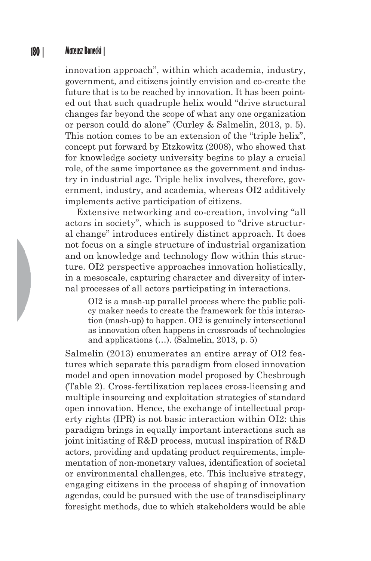innovation approach", within which academia, industry, government, and citizens jointly envision and co-create the future that is to be reached by innovation. It has been pointed out that such quadruple helix would "drive structural changes far beyond the scope of what any one organization or person could do alone" (Curley & Salmelin, 2013, p. 5). This notion comes to be an extension of the "triple helix", concept put forward by Etzkowitz (2008), who showed that for knowledge society university begins to play a crucial role, of the same importance as the government and industry in industrial age. Triple helix involves, therefore, government, industry, and academia, whereas OI2 additively implements active participation of citizens.

Extensive networking and co-creation, involving "all actors in society", which is supposed to "drive structural change" introduces entirely distinct approach. It does not focus on a single structure of industrial organization and on knowledge and technology flow within this structure. OI2 perspective approaches innovation holistically, in a mesoscale, capturing character and diversity of internal processes of all actors participating in interactions.

OI2 is a mash-up parallel process where the public policy maker needs to create the framework for this interaction (mash-up) to happen. OI2 is genuinely intersectional as innovation often happens in crossroads of technologies and applications (…). (Salmelin, 2013, p. 5)

Salmelin (2013) enumerates an entire array of OI2 features which separate this paradigm from closed innovation model and open innovation model proposed by Chesbrough (Table 2). Cross-fertilization replaces cross-licensing and multiple insourcing and exploitation strategies of standard open innovation. Hence, the exchange of intellectual property rights (IPR) is not basic interaction within OI2: this paradigm brings in equally important interactions such as joint initiating of R&D process, mutual inspiration of R&D actors, providing and updating product requirements, implementation of non-monetary values, identification of societal or environmental challenges, etc. This inclusive strategy, engaging citizens in the process of shaping of innovation agendas, could be pursued with the use of transdisciplinary foresight methods, due to which stakeholders would be able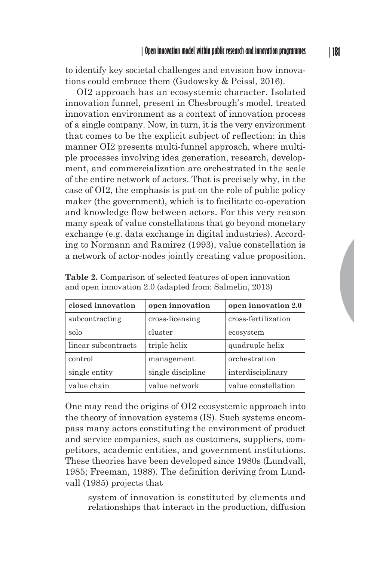to identify key societal challenges and envision how innovations could embrace them (Gudowsky & Peissl, 2016).

OI2 approach has an ecosystemic character. Isolated innovation funnel, present in Chesbrough's model, treated innovation environment as a context of innovation process of a single company. Now, in turn, it is the very environment that comes to be the explicit subject of reflection: in this manner OI2 presents multi-funnel approach, where multiple processes involving idea generation, research, development, and commercialization are orchestrated in the scale of the entire network of actors. That is precisely why, in the case of OI2, the emphasis is put on the role of public policy maker (the government), which is to facilitate co-operation and knowledge flow between actors. For this very reason many speak of value constellations that go beyond monetary exchange (e.g. data exchange in digital industries). According to Normann and Ramirez (1993), value constellation is a network of actor-nodes jointly creating value proposition.

| closed innovation   | open innovation   | open innovation 2.0 |
|---------------------|-------------------|---------------------|
| subcontracting      | cross-licensing   | cross-fertilization |
| solo                | cluster           | ecosystem           |
| linear subcontracts | triple helix      | quadruple helix     |
| control             | management        | orchestration       |
| single entity       | single discipline | interdisciplinary   |
| value chain         | value network     | value constellation |

**Table 2.** Comparison of selected features of open innovation and open innovation 2.0 (adapted from: Salmelin, 2013)

One may read the origins of OI2 ecosystemic approach into the theory of innovation systems (IS). Such systems encompass many actors constituting the environment of product and service companies, such as customers, suppliers, competitors, academic entities, and government institutions. These theories have been developed since 1980s (Lundvall, 1985; Freeman, 1988). The definition deriving from Lundvall (1985) projects that

system of innovation is constituted by elements and relationships that interact in the production, diffusion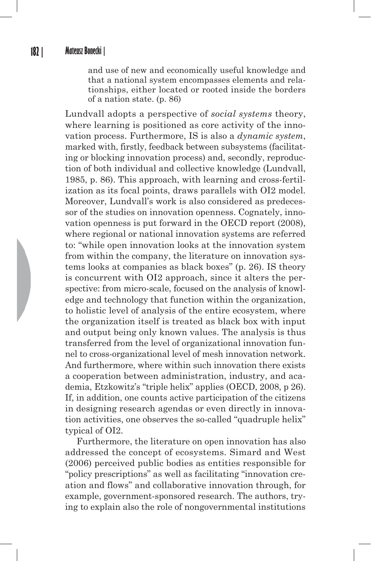and use of new and economically useful knowledge and that a national system encompasses elements and relationships, either located or rooted inside the borders of a nation state. (p. 86)

Lundvall adopts a perspective of *social systems* theory, where learning is positioned as core activity of the innovation process. Furthermore, IS is also a *dynamic system*, marked with, firstly, feedback between subsystems (facilitating or blocking innovation process) and, secondly, reproduction of both individual and collective knowledge (Lundvall, 1985, p. 86). This approach, with learning and cross-fertilization as its focal points, draws parallels with OI2 model. Moreover, Lundvall's work is also considered as predecessor of the studies on innovation openness. Cognately, innovation openness is put forward in the OECD report (2008), where regional or national innovation systems are referred to: "while open innovation looks at the innovation system from within the company, the literature on innovation systems looks at companies as black boxes" (p. 26). IS theory is concurrent with OI2 approach, since it alters the perspective: from micro-scale, focused on the analysis of knowledge and technology that function within the organization, to holistic level of analysis of the entire ecosystem, where the organization itself is treated as black box with input and output being only known values. The analysis is thus transferred from the level of organizational innovation funnel to cross-organizational level of mesh innovation network. And furthermore, where within such innovation there exists a cooperation between administration, industry, and academia, Etzkowitz's "triple helix" applies (OECD, 2008, p 26). If, in addition, one counts active participation of the citizens in designing research agendas or even directly in innovation activities, one observes the so-called "quadruple helix" typical of OI2.

Furthermore, the literature on open innovation has also addressed the concept of ecosystems. Simard and West (2006) perceived public bodies as entities responsible for "policy prescriptions" as well as facilitating "innovation creation and flows" and collaborative innovation through, for example, government-sponsored research. The authors, trying to explain also the role of nongovernmental institutions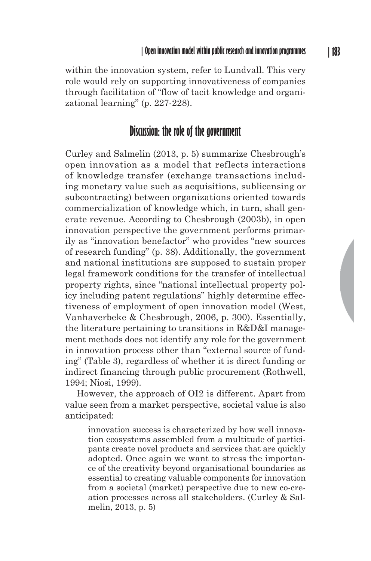within the innovation system, refer to Lundvall. This very role would rely on supporting innovativeness of companies through facilitation of "flow of tacit knowledge and organizational learning" (p. 227-228).

## **Discussion: the role of the government**

Curley and Salmelin (2013, p. 5) summarize Chesbrough's open innovation as a model that reflects interactions of knowledge transfer (exchange transactions including monetary value such as acquisitions, sublicensing or subcontracting) between organizations oriented towards commercialization of knowledge which, in turn, shall generate revenue. According to Chesbrough (2003b), in open innovation perspective the government performs primarily as "innovation benefactor" who provides "new sources of research funding" (p. 38). Additionally, the government and national institutions are supposed to sustain proper legal framework conditions for the transfer of intellectual property rights, since "national intellectual property policy including patent regulations" highly determine effectiveness of employment of open innovation model (West, Vanhaverbeke & Chesbrough, 2006, p. 300). Essentially, the literature pertaining to transitions in R&D&I management methods does not identify any role for the government in innovation process other than "external source of funding" (Table 3), regardless of whether it is direct funding or indirect financing through public procurement (Rothwell, 1994; Niosi, 1999).

However, the approach of OI2 is different. Apart from value seen from a market perspective, societal value is also anticipated:

innovation success is characterized by how well innovation ecosystems assembled from a multitude of participants create novel products and services that are quickly adopted. Once again we want to stress the importance of the creativity beyond organisational boundaries as essential to creating valuable components for innovation from a societal (market) perspective due to new co-creation processes across all stakeholders. (Curley & Salmelin, 2013, p. 5)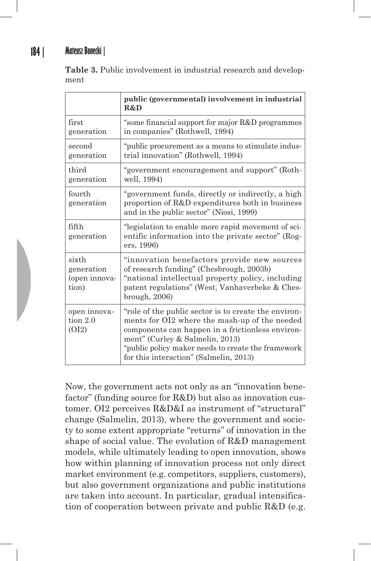**Table 3.** Public involvement in industrial research and development

|                                               | public (governmental) involvement in industrial<br>R&D                                                                                                                                                                                                                                       |
|-----------------------------------------------|----------------------------------------------------------------------------------------------------------------------------------------------------------------------------------------------------------------------------------------------------------------------------------------------|
| first<br>generation                           | "some financial support for major R&D programmes"<br>in companies" (Rothwell, 1994)                                                                                                                                                                                                          |
| second<br>generation                          | "public procurement as a means to stimulate indus-<br>trial innovation" (Rothwell, 1994)                                                                                                                                                                                                     |
| third<br>generation                           | "government encouragement and support" (Roth-<br>well, 1994)                                                                                                                                                                                                                                 |
| fourth<br>generation                          | "government funds, directly or indirectly, a high<br>proportion of R&D expenditures both in business<br>and in the public sector" (Niosi, 1999)                                                                                                                                              |
| fifth<br>generation                           | egislation to enable more rapid movement of sci-<br>entific information into the private sector" (Rog-<br>ers, 1996)                                                                                                                                                                         |
| sixth<br>generation<br>(open innova-<br>tion) | "innovation benefactors provide new sources<br>of research funding" (Chesbrough, 2003b)<br>"national intellectual property policy, including<br>patent regulations" (West, Vanhaverbeke & Ches-<br>brough, 2006)                                                                             |
| open innova-<br>tion $2.0$<br>(OI2)           | "role of the public sector is to create the environ-<br>ments for OI2 where the mash-up of the needed<br>components can happen in a frictionless environ-<br>ment" (Curley & Salmelin, 2013)<br>"public policy maker needs to create the framework<br>for this interaction" (Salmelin, 2013) |

Now, the government acts not only as an "innovation benefactor" (funding source for R&D) but also as innovation customer. OI2 perceives R&D&I as instrument of "structural" change (Salmelin, 2013), where the government and society to some extent appropriate "returns" of innovation in the shape of social value. The evolution of R&D management models, while ultimately leading to open innovation, shows how within planning of innovation process not only direct market environment (e.g. competitors, suppliers, customers), but also government organizations and public institutions are taken into account. In particular, gradual intensification of cooperation between private and public R&D (e.g.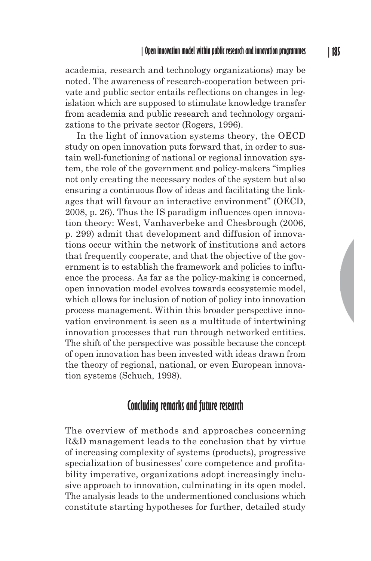academia, research and technology organizations) may be noted. The awareness of research-cooperation between private and public sector entails reflections on changes in legislation which are supposed to stimulate knowledge transfer from academia and public research and technology organizations to the private sector (Rogers, 1996).

In the light of innovation systems theory, the OECD study on open innovation puts forward that, in order to sustain well-functioning of national or regional innovation system, the role of the government and policy-makers "implies not only creating the necessary nodes of the system but also ensuring a continuous flow of ideas and facilitating the linkages that will favour an interactive environment" (OECD, 2008, p. 26). Thus the IS paradigm influences open innovation theory: West, Vanhaverbeke and Chesbrough (2006, p. 299) admit that development and diffusion of innovations occur within the network of institutions and actors that frequently cooperate, and that the objective of the government is to establish the framework and policies to influence the process. As far as the policy-making is concerned, open innovation model evolves towards ecosystemic model, which allows for inclusion of notion of policy into innovation process management. Within this broader perspective innovation environment is seen as a multitude of intertwining innovation processes that run through networked entities. The shift of the perspective was possible because the concept of open innovation has been invested with ideas drawn from the theory of regional, national, or even European innovation systems (Schuch, 1998).

## **Concluding remarks and future research**

The overview of methods and approaches concerning R&D management leads to the conclusion that by virtue of increasing complexity of systems (products), progressive specialization of businesses' core competence and profitability imperative, organizations adopt increasingly inclusive approach to innovation, culminating in its open model. The analysis leads to the undermentioned conclusions which constitute starting hypotheses for further, detailed study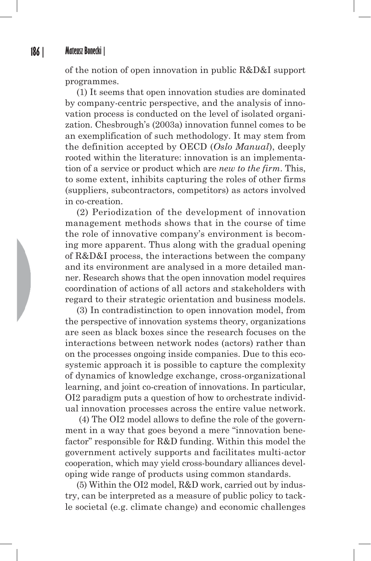of the notion of open innovation in public R&D&I support programmes.

(1) It seems that open innovation studies are dominated by company-centric perspective, and the analysis of innovation process is conducted on the level of isolated organization. Chesbrough's (2003a) innovation funnel comes to be an exemplification of such methodology. It may stem from the definition accepted by OECD (*Oslo Manual*), deeply rooted within the literature: innovation is an implementation of a service or product which are *new to the firm*. This, to some extent, inhibits capturing the roles of other firms (suppliers, subcontractors, competitors) as actors involved in co-creation.

(2) Periodization of the development of innovation management methods shows that in the course of time the role of innovative company's environment is becoming more apparent. Thus along with the gradual opening of R&D&I process, the interactions between the company and its environment are analysed in a more detailed manner. Research shows that the open innovation model requires coordination of actions of all actors and stakeholders with regard to their strategic orientation and business models.

(3) In contradistinction to open innovation model, from the perspective of innovation systems theory, organizations are seen as black boxes since the research focuses on the interactions between network nodes (actors) rather than on the processes ongoing inside companies. Due to this ecosystemic approach it is possible to capture the complexity of dynamics of knowledge exchange, cross-organizational learning, and joint co-creation of innovations. In particular, OI2 paradigm puts a question of how to orchestrate individual innovation processes across the entire value network.

 (4) The OI2 model allows to define the role of the government in a way that goes beyond a mere "innovation benefactor" responsible for R&D funding. Within this model the government actively supports and facilitates multi-actor cooperation, which may yield cross-boundary alliances developing wide range of products using common standards.

(5) Within the OI2 model, R&D work, carried out by industry, can be interpreted as a measure of public policy to tackle societal (e.g. climate change) and economic challenges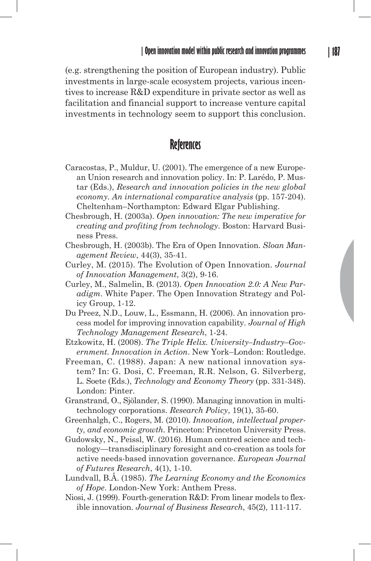(e.g. strengthening the position of European industry). Public investments in large-scale ecosystem projects, various incentives to increase R&D expenditure in private sector as well as facilitation and financial support to increase venture capital investments in technology seem to support this conclusion.

## **References**

- Caracostas, P., Muldur, U. (2001). The emergence of a new European Union research and innovation policy. In: P. Larédo, P. Mustar (Eds.), *Research and innovation policies in the new global economy. An international comparative analysis* (pp. 157-204). Cheltenham–Northampton: Edward Elgar Publishing.
- Chesbrough, H. (2003a). *Open innovation: The new imperative for creating and profiting from technology*. Boston: Harvard Business Press.
- Chesbrough, H. (2003b). The Era of Open Innovation. *Sloan Management Review*, 44(3), 35-41.
- Curley, M. (2015). The Evolution of Open Innovation. *Journal of Innovation Management*, 3(2), 9-16.
- Curley, M., Salmelin, B. (2013). *Open Innovation 2.0: A New Paradigm*. White Paper. The Open Innovation Strategy and Policy Group, 1-12.
- Du Preez, N.D., Louw, L., Essmann, H. (2006). An innovation process model for improving innovation capability. *Journal of High Technology Management Research*, 1-24.
- Etzkowitz, H. (2008). *The Triple Helix. University–Industry–Government. Innovation in Action*. New York–London: Routledge.
- Freeman, C. (1988). Japan: A new national innovation system? In: G. Dosi, C. Freeman, R.R. Nelson, G. Silverberg, L. Soete (Eds.), *Technology and Economy Theory* (pp. 331-348). London: Pinter.
- Granstrand, O., Sjölander, S. (1990). Managing innovation in multitechnology corporations. *Research Policy*, 19(1), 35-60.
- Greenhalgh, C., Rogers, M. (2010). *Innovation, intellectual property, and economic growth*. Princeton: Princeton University Press.
- Gudowsky, N., Peissl, W. (2016). Human centred science and technology—transdisciplinary foresight and co-creation as tools for active needs-based innovation governance. *European Journal of Futures Research*, 4(1), 1-10.
- Lundvall, B.Å. (1985). *The Learning Economy and the Economics of Hope*. London-New York: Anthem Press.
- Niosi, J. (1999). Fourth-generation R&D: From linear models to flexible innovation. *Journal of Business Research*, 45(2), 111-117.